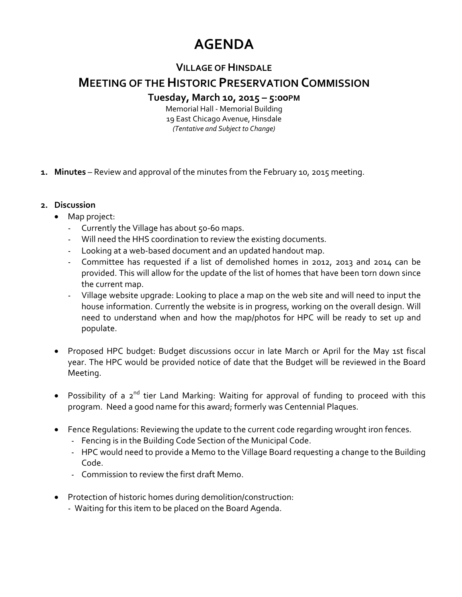# **AGENDA**

## **VILLAGE OFHINSDALE**

# **MEETING OF THEHISTORIC PRESERVATION COMMISSION**

#### **Tuesday, March 10, 2015 – 5:00PM**

Memorial Hall ‐ Memorial Building 19 East Chicago Avenue, Hinsdale *(Tentative and Subject to Change)*

**1. Minutes** – Review and approval of the minutes from the February 10, 2015 meeting.

#### **2. Discussion**

- Map project:
	- Currently the Village has about 50-60 maps.
	- Will need the HHS coordination to review the existing documents.
	- Looking at a web‐based document and an updated handout map.
	- Committee has requested if a list of demolished homes in 2012, 2013 and 2014 can be provided. This will allow for the update of the list of homes that have been torn down since the current map.
	- Village website upgrade: Looking to place a map on the web site and will need to input the house information. Currently the website is in progress, working on the overall design. Will need to understand when and how the map/photos for HPC will be ready to set up and populate.
- Proposed HPC budget: Budget discussions occur in late March or April for the May 1st fiscal year. The HPC would be provided notice of date that the Budget will be reviewed in the Board Meeting.
- Possibility of a 2<sup>nd</sup> tier Land Marking: Waiting for approval of funding to proceed with this program. Need a good name for this award; formerly was Centennial Plaques.
- Fence Regulations: Reviewing the update to the current code regarding wrought iron fences.
	- Fencing is in the Building Code Section of the Municipal Code.
	- HPC would need to provide a Memo to the Village Board requesting a change to the Building Code.
	- Commission to review the first draft Memo.
- Protection of historic homes during demolition/construction:
	- Waiting for this item to be placed on the Board Agenda.